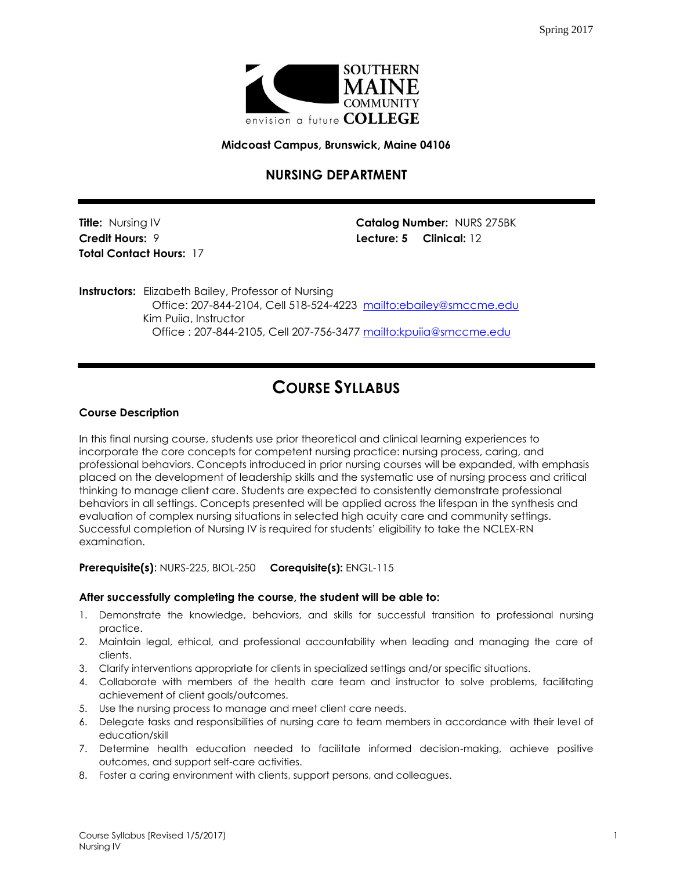

**Midcoast Campus, Brunswick, Maine 04106**

# **NURSING DEPARTMENT**

**Total Contact Hours:** 17

**Title:** Nursing IV **Catalog Number:** NURS 275BK **Credit Hours:** 9 **Lecture: 5 Clinical:** 12

**Instructors:** Elizabeth Bailey, Professor of Nursing Office: 207-844-2104, Cell 518-524-4223 <mailto:ebailey@smccme.edu> Kim Puiia, Instructor Office : 207-844-2105, Cell 207-756-3477<mailto:kpuiia@smccme.edu>

# **COURSE SYLLABUS**

# **Course Description**

In this final nursing course, students use prior theoretical and clinical learning experiences to incorporate the core concepts for competent nursing practice: nursing process, caring, and professional behaviors. Concepts introduced in prior nursing courses will be expanded, with emphasis placed on the development of leadership skills and the systematic use of nursing process and critical thinking to manage client care. Students are expected to consistently demonstrate professional behaviors in all settings. Concepts presented will be applied across the lifespan in the synthesis and evaluation of complex nursing situations in selected high acuity care and community settings. Successful completion of Nursing IV is required for students' eligibility to take the NCLEX-RN examination.

**Prerequisite(s)**: NURS-225, BIOL-250 **Corequisite(s):** ENGL-115

# **After successfully completing the course, the student will be able to:**

- 1. Demonstrate the knowledge, behaviors, and skills for successful transition to professional nursing practice.
- 2. Maintain legal, ethical, and professional accountability when leading and managing the care of clients.
- 3. Clarify interventions appropriate for clients in specialized settings and/or specific situations.
- 4. Collaborate with members of the health care team and instructor to solve problems, facilitating achievement of client goals/outcomes.
- 5. Use the nursing process to manage and meet client care needs.
- 6. Delegate tasks and responsibilities of nursing care to team members in accordance with their level of education/skill
- 7. Determine health education needed to facilitate informed decision-making, achieve positive outcomes, and support self-care activities.
- 8. Foster a caring environment with clients, support persons, and colleagues.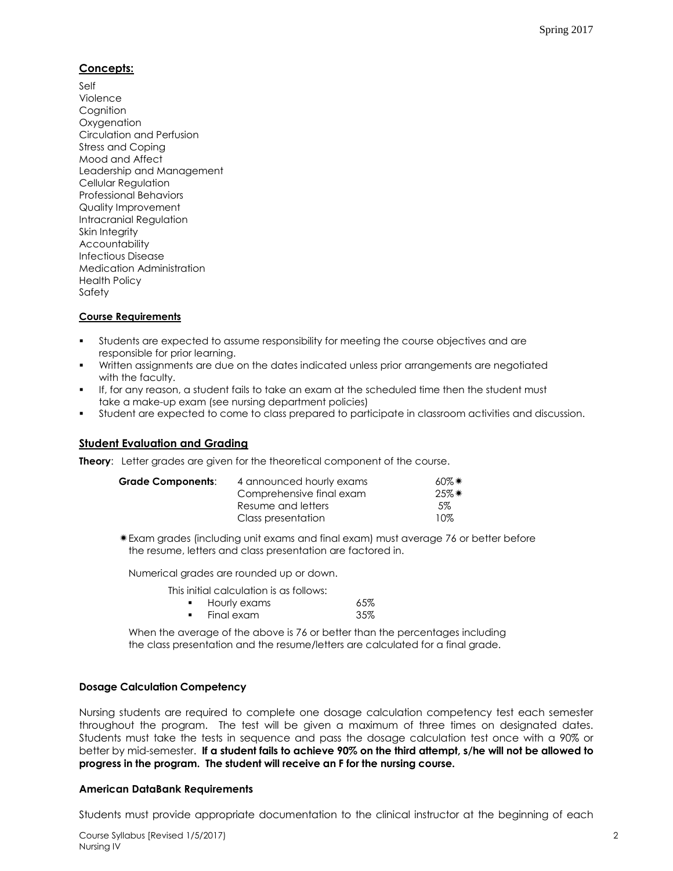# **Concepts:**

Self Violence **Cognition Oxygenation** Circulation and Perfusion Stress and Coping Mood and Affect Leadership and Management Cellular Regulation Professional Behaviors Quality Improvement Intracranial Regulation Skin Integrity **Accountability** Infectious Disease Medication Administration Health Policy Safety

# **Course Requirements**

- Students are expected to assume responsibility for meeting the course objectives and are responsible for prior learning.
- Written assignments are due on the dates indicated unless prior arrangements are negotiated with the faculty.
- If, for any reason, a student fails to take an exam at the scheduled time then the student must take a make-up exam (see nursing department policies)
- Student are expected to come to class prepared to participate in classroom activities and discussion.

# **Student Evaluation and Grading**

**Theory:** Letter grades are given for the theoretical component of the course.

| Grade Components: | 4 announced hourly exams | $60\%$ *   |
|-------------------|--------------------------|------------|
|                   | Comprehensive final exam | $25\%$ $*$ |
|                   | Resume and letters       | $5\%$      |
|                   | Class presentation       | 10%        |

Exam grades (including unit exams and final exam) must average 76 or better before the resume, letters and class presentation are factored in.

Numerical grades are rounded up or down.

This initial calculation is as follows:

| Hourly exams | 65% |
|--------------|-----|
| Final exam   | 35% |

When the average of the above is 76 or better than the percentages including the class presentation and the resume/letters are calculated for a final grade.

# **Dosage Calculation Competency**

Nursing students are required to complete one dosage calculation competency test each semester throughout the program. The test will be given a maximum of three times on designated dates. Students must take the tests in sequence and pass the dosage calculation test once with a 90% or better by mid-semester. **If a student fails to achieve 90% on the third attempt, s/he will not be allowed to progress in the program. The student will receive an F for the nursing course.**

# **American DataBank Requirements**

Students must provide appropriate documentation to the clinical instructor at the beginning of each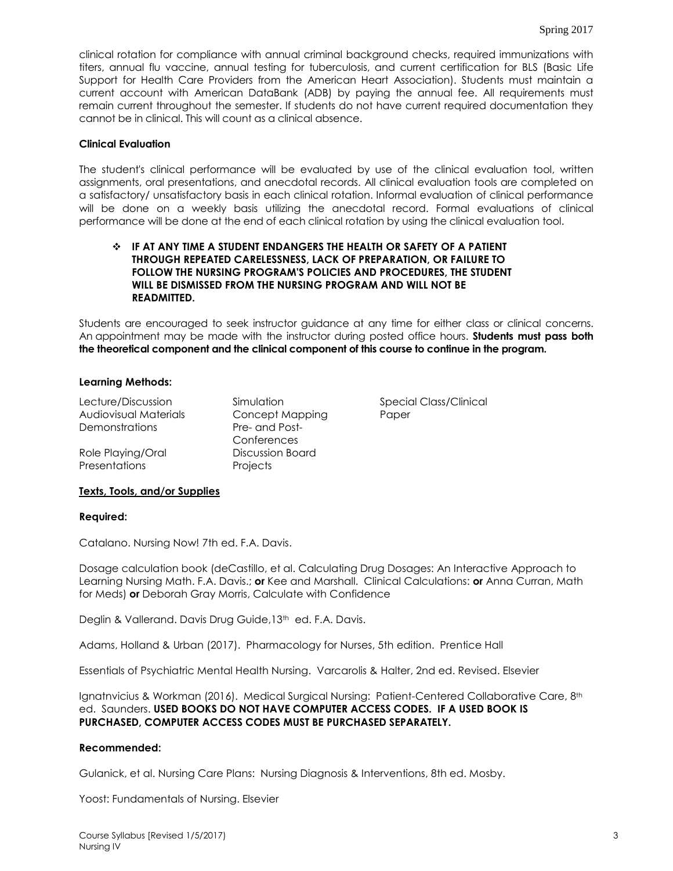clinical rotation for compliance with annual criminal background checks, required immunizations with titers, annual flu vaccine, annual testing for tuberculosis, and current certification for BLS (Basic Life Support for Health Care Providers from the American Heart Association). Students must maintain a current account with American DataBank (ADB) by paying the annual fee. All requirements must remain current throughout the semester. If students do not have current required documentation they cannot be in clinical. This will count as a clinical absence.

# **Clinical Evaluation**

The student's clinical performance will be evaluated by use of the clinical evaluation tool, written assignments, oral presentations, and anecdotal records. All clinical evaluation tools are completed on a satisfactory/ unsatisfactory basis in each clinical rotation. Informal evaluation of clinical performance will be done on a weekly basis utilizing the anecdotal record. Formal evaluations of clinical performance will be done at the end of each clinical rotation by using the clinical evaluation tool.

# **IF AT ANY TIME A STUDENT ENDANGERS THE HEALTH OR SAFETY OF A PATIENT THROUGH REPEATED CARELESSNESS, LACK OF PREPARATION, OR FAILURE TO FOLLOW THE NURSING PROGRAM'S POLICIES AND PROCEDURES, THE STUDENT WILL BE DISMISSED FROM THE NURSING PROGRAM AND WILL NOT BE READMITTED.**

Students are encouraged to seek instructor guidance at any time for either class or clinical concerns. An appointment may be made with the instructor during posted office hours. **Students must pass both the theoretical component and the clinical component of this course to continue in the program.**

#### **Learning Methods:**

Lecture/Discussion Simulation Simulation Special Class/Clinical Audiovisual Materials Concept Mapping Paper Demonstrations Pre- and Post-

Role Playing/Oral Presentations

Conferences Discussion Board Projects

# **Texts, Tools, and/or Supplies**

#### **Required:**

Catalano. Nursing Now! 7th ed. F.A. Davis.

Dosage calculation book (deCastillo, et al. Calculating Drug Dosages: An Interactive Approach to Learning Nursing Math. F.A. Davis.; **or** Kee and Marshall. Clinical Calculations: **or** Anna Curran, Math for Meds) **or** Deborah Gray Morris, Calculate with Confidence

Deglin & Vallerand. Davis Drug Guide, 13<sup>th</sup> ed. F.A. Davis.

Adams, Holland & Urban (2017). Pharmacology for Nurses, 5th edition. Prentice Hall

Essentials of Psychiatric Mental Health Nursing. Varcarolis & Halter, 2nd ed. Revised. Elsevier

Ignatnvicius & Workman (2016). Medical Surgical Nursing: Patient-Centered Collaborative Care, 8th ed. Saunders. **USED BOOKS DO NOT HAVE COMPUTER ACCESS CODES. IF A USED BOOK IS PURCHASED, COMPUTER ACCESS CODES MUST BE PURCHASED SEPARATELY.**

#### **Recommended:**

Gulanick, et al. Nursing Care Plans: Nursing Diagnosis & Interventions, 8th ed. Mosby.

Yoost: Fundamentals of Nursing. Elsevier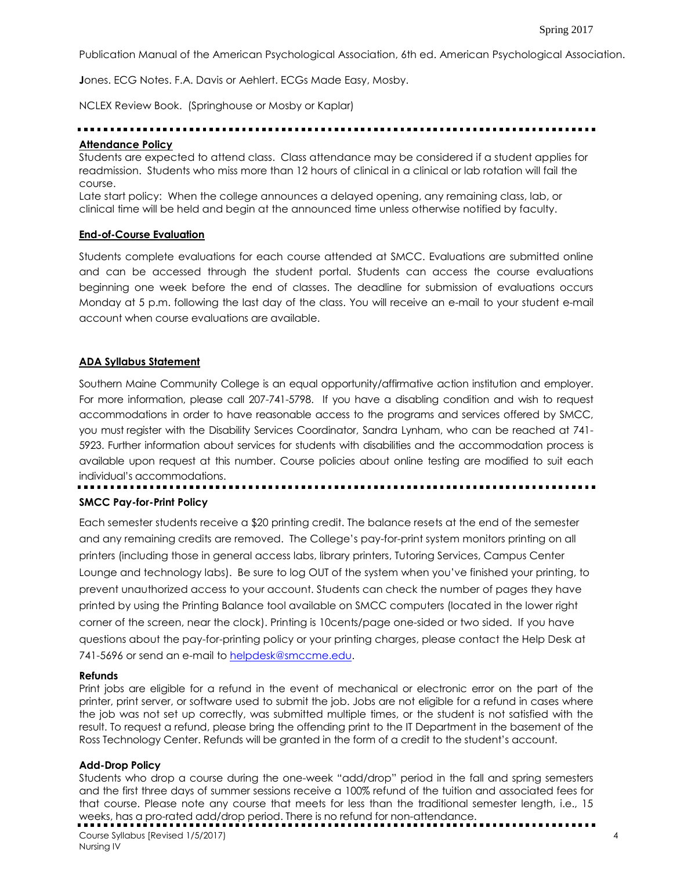Publication Manual of the American Psychological Association, 6th ed. American Psychological Association.

**J**ones. ECG Notes. F.A. Davis or Aehlert. ECGs Made Easy, Mosby.

NCLEX Review Book. (Springhouse or Mosby or Kaplar)

# **Attendance Policy**

Students are expected to attend class. Class attendance may be considered if a student applies for readmission. Students who miss more than 12 hours of clinical in a clinical or lab rotation will fail the course.

Late start policy: When the college announces a delayed opening, any remaining class, lab, or clinical time will be held and begin at the announced time unless otherwise notified by faculty.

#### **End-of-Course Evaluation**

Students complete evaluations for each course attended at SMCC. Evaluations are submitted online and can be accessed through the student portal. Students can access the course evaluations beginning one week before the end of classes. The deadline for submission of evaluations occurs Monday at 5 p.m. following the last day of the class. You will receive an e-mail to your student e-mail account when course evaluations are available.

# **ADA Syllabus Statement**

Southern Maine Community College is an equal opportunity/affirmative action institution and employer. For more information, please call 207-741-5798. If you have a disabling condition and wish to request accommodations in order to have reasonable access to the programs and services offered by SMCC, you must register with the Disability Services Coordinator, Sandra Lynham, who can be reached at 741- 5923. Further information about services for students with disabilities and the accommodation process is available upon request at this number. Course policies about online testing are modified to suit each individual's accommodations.

# **SMCC Pay-for-Print Policy**

Each semester students receive a \$20 printing credit. The balance resets at the end of the semester and any remaining credits are removed. The College's pay-for-print system monitors printing on all printers (including those in general access labs, library printers, Tutoring Services, Campus Center Lounge and technology labs). Be sure to log OUT of the system when you've finished your printing, to prevent unauthorized access to your account. Students can check the number of pages they have printed by using the Printing Balance tool available on SMCC computers (located in the lower right corner of the screen, near the clock). Printing is 10cents/page one-sided or two sided. If you have questions about the pay-for-printing policy or your printing charges, please contact the Help Desk at 741-5696 or send an e-mail to [helpdesk@smccme.edu.](mailto:helpdesk@smccme.edu)

#### **Refunds**

Print jobs are eligible for a refund in the event of mechanical or electronic error on the part of the printer, print server, or software used to submit the job. Jobs are not eligible for a refund in cases where the job was not set up correctly, was submitted multiple times, or the student is not satisfied with the result. To request a refund, please bring the offending print to the IT Department in the basement of the Ross Technology Center. Refunds will be granted in the form of a credit to the student's account.

# **Add-Drop Policy**

Students who drop a course during the one-week "add/drop" period in the fall and spring semesters and the first three days of summer sessions receive a 100% refund of the tuition and associated fees for that course. Please note any course that meets for less than the traditional semester length, i.e., 15 weeks, has a pro-rated add/drop period. There is no refund for non-attendance.

Course Syllabus [Revised 1/5/2017) 4